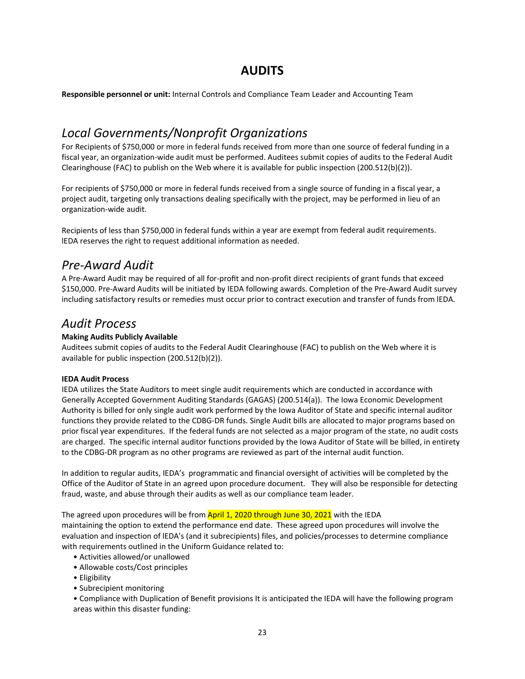# **AUDITS**

**Responsible personnel or unit:** Internal Controls and Compliance Team Leader and Accounting Team

# *Local Governments/Nonprofit Organizations*

For Recipients of \$750,000 or more in federal funds received from more than one source of federal funding in a fiscal year, an organization‐wide audit must be performed. Auditees submit copies of audits to the Federal Audit Clearinghouse (FAC) to publish on the Web where it is available for public inspection (200.512(b)(2)).

For recipients of \$750,000 or more in federal funds received from a single source of funding in a fiscal year, a project audit, targeting only transactions dealing specifically with the project, may be performed in lieu of an organization‐wide audit.

Recipients of less than \$750,000 in federal funds within a year are exempt from federal audit requirements. lEDA reserves the right to request additional information as needed.

## *Pre‐Award Audit*

A Pre‐Award Audit may be required of all for‐profit and non‐profit direct recipients of grant funds that exceed \$150,000. Pre‐Award Audits will be initiated by IEDA following awards. Completion of the Pre‐Award Audit survey including satisfactory results or remedies must occur prior to contract execution and transfer of funds from lEDA.

### *Audit Process*

### **Making Audits Publicly Available**

Auditees submit copies of audits to the Federal Audit Clearinghouse (FAC) to publish on the Web where it is available for public inspection (200.512(b)(2)).

#### **IEDA Audit Process**

IEDA utilizes the State Auditors to meet single audit requirements which are conducted in accordance with Generally Accepted Government Auditing Standards (GAGAS) (200.514(a)). The Iowa Economic Development Authority is billed for only single audit work performed by the Iowa Auditor of State and specific internal auditor functions they provide related to the CDBG‐DR funds. Single Audit bills are allocated to major programs based on prior fiscal year expenditures. If the federal funds are not selected as a major program of the state, no audit costs are charged. The specific internal auditor functions provided by the Iowa Auditor of State will be billed, in entirety to the CDBG‐DR program as no other programs are reviewed as part of the internal audit function.

In addition to regular audits, IEDA's programmatic and financial oversight of activities will be completed by the Office of the Auditor of State in an agreed upon procedure document. They will also be responsible for detecting fraud, waste, and abuse through their audits as well as our compliance team leader.

The agreed upon procedures will be from **April 1, 2020 through June 30, 2021** with the IEDA maintaining the option to extend the performance end date. These agreed upon procedures will involve the evaluation and inspection of lEDA's (and it subrecipients) files, and policies/processes to determine compliance with requirements outlined in the Uniform Guidance related to:

- Activities allowed/or unallowed
- Allowable costs/Cost principles
- Eligibility
- Subrecipient monitoring

• Compliance with Duplication of Benefit provisions It is anticipated the IEDA will have the following program areas within this disaster funding: